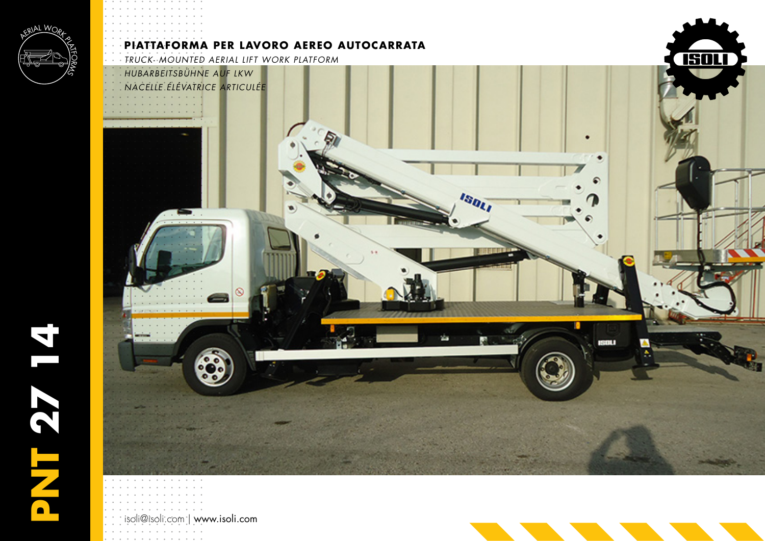

isoli@isoli.com | www.isoli.com